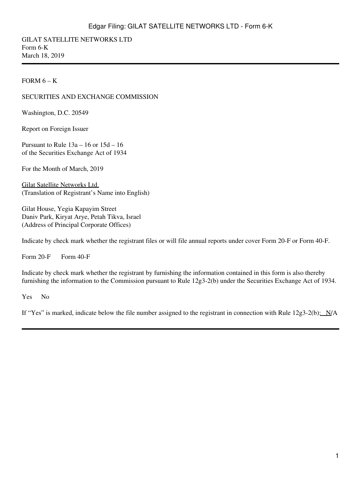GILAT SATELLITE NETWORKS LTD Form 6-K March 18, 2019

FORM  $6 - K$ 

#### SECURITIES AND EXCHANGE COMMISSION

Washington, D.C. 20549

Report on Foreign Issuer

Pursuant to Rule 13a – 16 or 15d – 16 of the Securities Exchange Act of 1934

For the Month of March, 2019

Gilat Satellite Networks Ltd. (Translation of Registrant's Name into English)

Gilat House, Yegia Kapayim Street Daniv Park, Kiryat Arye, Petah Tikva, Israel (Address of Principal Corporate Offices)

Indicate by check mark whether the registrant files or will file annual reports under cover Form 20-F or Form 40-F.

Form  $20-F$  Form  $40-F$ 

Indicate by check mark whether the registrant by furnishing the information contained in this form is also thereby furnishing the information to the Commission pursuant to Rule 12g3-2(b) under the Securities Exchange Act of 1934.

Yes No

If "Yes" is marked, indicate below the file number assigned to the registrant in connection with Rule  $12g3-2(b)$ :  $N/A$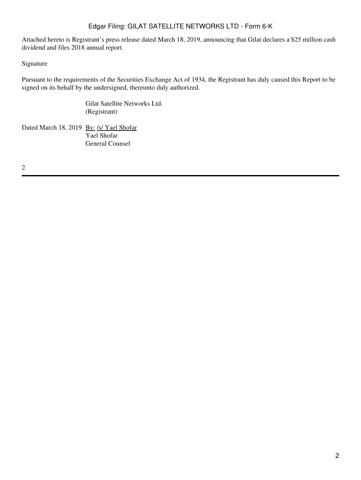Attached hereto is Registrant's press release dated March 18, 2019, announcing that Gilat declares a \$25 million cash dividend and files 2018 annual report.

### Signature

Pursuant to the requirements of the Securities Exchange Act of 1934, the Registrant has duly caused this Report to be signed on its behalf by the undersigned, thereunto duly authorized.

> Gilat Satellite Networks Ltd. (Registrant)

Dated March 18, 2019 By: /s/ Yael Shofar Yael Shofar General Counsel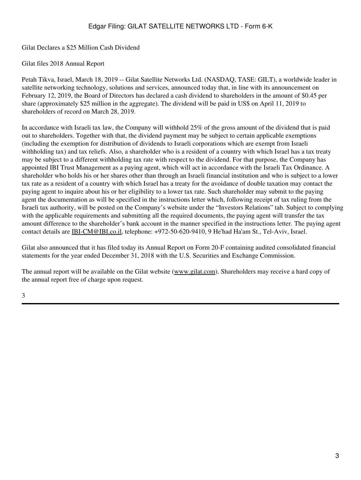Gilat Declares a \$25 Million Cash Dividend

Gilat files 2018 Annual Report

Petah Tikva, Israel, March 18, 2019 -- Gilat Satellite Networks Ltd. (NASDAQ, TASE: GILT), a worldwide leader in satellite networking technology, solutions and services, announced today that, in line with its announcement on February 12, 2019, the Board of Directors has declared a cash dividend to shareholders in the amount of \$0.45 per share (approximately \$25 million in the aggregate). The dividend will be paid in US\$ on April 11, 2019 to shareholders of record on March 28, 2019.

In accordance with Israeli tax law, the Company will withhold 25% of the gross amount of the dividend that is paid out to shareholders. Together with that, the dividend payment may be subject to certain applicable exemptions (including the exemption for distribution of dividends to Israeli corporations which are exempt from Israeli withholding tax) and tax reliefs. Also, a shareholder who is a resident of a country with which Israel has a tax treaty may be subject to a different withholding tax rate with respect to the dividend. For that purpose, the Company has appointed IBI Trust Management as a paying agent, which will act in accordance with the Israeli Tax Ordinance. A shareholder who holds his or her shares other than through an Israeli financial institution and who is subject to a lower tax rate as a resident of a country with which Israel has a treaty for the avoidance of double taxation may contact the paying agent to inquire about his or her eligibility to a lower tax rate. Such shareholder may submit to the paying agent the documentation as will be specified in the instructions letter which, following receipt of tax ruling from the Israeli tax authority, will be posted on the Company's website under the "Investors Relations" tab. Subject to complying with the applicable requirements and submitting all the required documents, the paying agent will transfer the tax amount difference to the shareholder's bank account in the manner specified in the instructions letter. The paying agent contact details are IBI-CM@IBI.co.il, telephone: +972-50-620-9410, 9 He'had Ha'am St., Tel-Aviv, Israel.

Gilat also announced that it has filed today its Annual Report on Form 20-F containing audited consolidated financial statements for the year ended December 31, 2018 with the U.S. Securities and Exchange Commission.

The annual report will be available on the Gilat website (www.gilat.com). Shareholders may receive a hard copy of the annual report free of charge upon request.